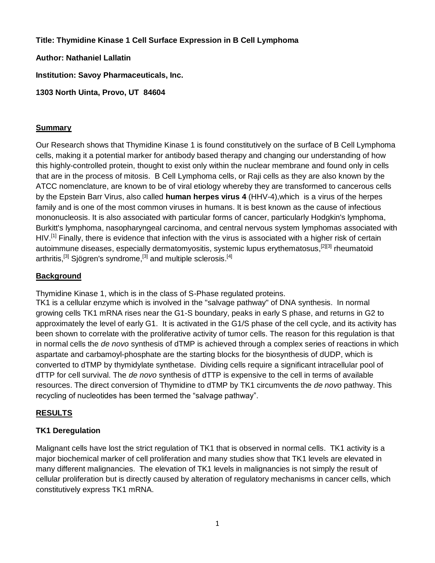**Title: Thymidine Kinase 1 Cell Surface Expression in B Cell Lymphoma**

**Author: Nathaniel Lallatin**

**Institution: Savoy Pharmaceuticals, Inc.**

**1303 North Uinta, Provo, UT 84604**

# **Summary**

Our Research shows that Thymidine Kinase 1 is found constitutively on the surface of B Cell Lymphoma cells, making it a potential marker for antibody based therapy and changing our understanding of how this highly-controlled protein, thought to exist only within the nuclear membrane and found only in cells that are in the process of mitosis. B Cell Lymphoma cells, or Raji cells as they are also known by the ATCC nomenclature, are known to be of viral etiology whereby they are transformed to cancerous cells by the Epstein Barr Virus, also called **human herpes virus 4** (HHV-4),which is a [virus](http://en.wikipedia.org/wiki/Virus) of the [herpes](http://en.wikipedia.org/wiki/Herpesviridae)  [family](http://en.wikipedia.org/wiki/Herpesviridae) and is one of the most common viruses in [humans.](http://en.wikipedia.org/wiki/Human) It is best known as the cause of [infectious](http://en.wikipedia.org/wiki/Infectious_mononucleosis)  [mononucleosis.](http://en.wikipedia.org/wiki/Infectious_mononucleosis) It is also associated with particular forms of [cancer,](http://en.wikipedia.org/wiki/Cancer) particularly [Hodgkin's lymphoma,](http://en.wikipedia.org/wiki/Hodgkin%27s_lymphoma) [Burkitt's lymphoma,](http://en.wikipedia.org/wiki/Burkitt%27s_lymphoma) [nasopharyngeal carcinoma,](http://en.wikipedia.org/wiki/Nasopharyngeal_carcinoma) and central nervous system [lymphomas](http://en.wikipedia.org/wiki/Lymphoma) associated with [HIV.](http://en.wikipedia.org/wiki/HIV)<sup>[\[1\]](http://en.wikipedia.org/wiki/Epstein%E2%80%93Barr_virus#cite_note-pmid19373526-0)</sup> Finally, there is evidence that infection with the virus is associated with a higher risk of certain [autoimmune diseases,](http://en.wikipedia.org/wiki/Autoimmune_disease) especially [dermatomyositis,](http://en.wikipedia.org/wiki/Dermatomyositis) [systemic lupus erythematosus,](http://en.wikipedia.org/wiki/Systemic_lupus_erythematosus)<sup>[\[2\]\[3\]](http://en.wikipedia.org/wiki/Epstein%E2%80%93Barr_virus#cite_note-pmid_9399948-1)</sup> rheumatoid [arthritis,](http://en.wikipedia.org/wiki/Rheumatoid_arthritis)<sup>[\[3\]](http://en.wikipedia.org/wiki/Epstein%E2%80%93Barr_virus#cite_note-pmid19028369-2)</sup> [Sjögren's syndrome,](http://en.wikipedia.org/wiki/Sj%C3%B6gren%27s_syndrome)<sup>[3]</sup> and [multiple sclerosis.](http://en.wikipedia.org/wiki/Multiple_sclerosis)<sup>[\[4](http://en.wikipedia.org/wiki/Epstein%E2%80%93Barr_virus#cite_note-pmid11021623-3)]</sup>

# **Background**

Thymidine Kinase 1, which is in the class of S-Phase regulated proteins.

TK1 is a cellular enzyme which is involved in the "salvage pathway" of DNA synthesis. In normal growing cells TK1 mRNA rises near the G1-S boundary, peaks in early S phase, and returns in G2 to approximately the level of early G1. It is activated in the G1/S phase of the cell cycle, and its activity has been shown to correlate with the proliferative activity of tumor cells. The reason for this regulation is that in normal cells the *de novo* synthesis of dTMP is achieved through a complex series of reactions in which aspartate and carbamoyl-phosphate are the starting blocks for the biosynthesis of dUDP, which is converted to dTMP by thymidylate synthetase. Dividing cells require a significant intracellular pool of dTTP for cell survival. The *de novo* synthesis of dTTP is expensive to the cell in terms of available resources. The direct conversion of Thymidine to dTMP by TK1 circumvents the *de novo* pathway. This recycling of nucleotides has been termed the "salvage pathway".

# **RESULTS**

# **TK1 Deregulation**

Malignant cells have lost the strict regulation of TK1 that is observed in normal cells. TK1 activity is a major biochemical marker of cell proliferation and many studies show that TK1 levels are elevated in many different malignancies. The elevation of TK1 levels in malignancies is not simply the result of cellular proliferation but is directly caused by alteration of regulatory mechanisms in cancer cells, which constitutively express TK1 mRNA.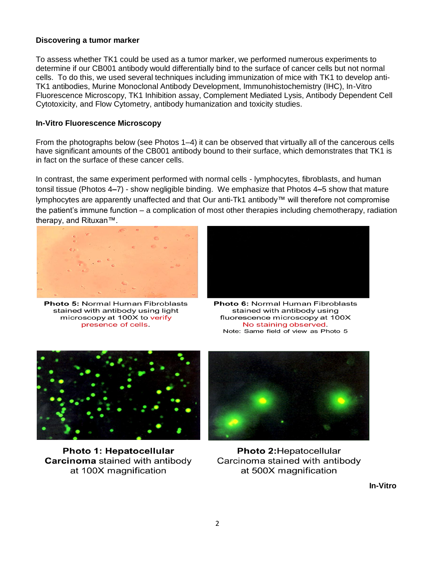### **Discovering a tumor marker**

To assess whether TK1 could be used as a tumor marker, we performed numerous experiments to determine if our CB001 antibody would differentially bind to the surface of cancer cells but not normal cells. To do this, we used several techniques including immunization of mice with TK1 to develop anti-TK1 antibodies, Murine Monoclonal Antibody Development, Immunohistochemistry (IHC), In-Vitro Fluorescence Microscopy, TK1 Inhibition assay, Complement Mediated Lysis, Antibody Dependent Cell Cytotoxicity, and Flow Cytometry, antibody humanization and toxicity studies.

### **In-Vitro Fluorescence Microscopy**

From the photographs below (see Photos 1–4) it can be observed that virtually all of the cancerous cells have significant amounts of the CB001 antibody bound to their surface, which demonstrates that TK1 is in fact on the surface of these cancer cells.

In contrast, the same experiment performed with normal cells - lymphocytes, fibroblasts, and human tonsil tissue (Photos 4*–*7) - show negligible binding. We emphasize that Photos 4*–*5 show that mature lymphocytes are apparently unaffected and that Our anti-Tk1 antibody™ will therefore not compromise the patient's immune function – a complication of most other therapies including chemotherapy, radiation therapy, and Rituxan™.



**Photo 5: Normal Human Fibroblasts** stained with antibody using light microscopy at 100X to verify presence of cells.



Photo 6: Normal Human Fibroblasts stained with antibody using fluorescence microscopy at 100X No staining observed. Note: Same field of view as Photo 5



**Photo 1: Hepatocellular Carcinoma** stained with antibody at 100X magnification



Photo 2: Hepatocellular Carcinoma stained with antibody at 500X magnification

**In-Vitro**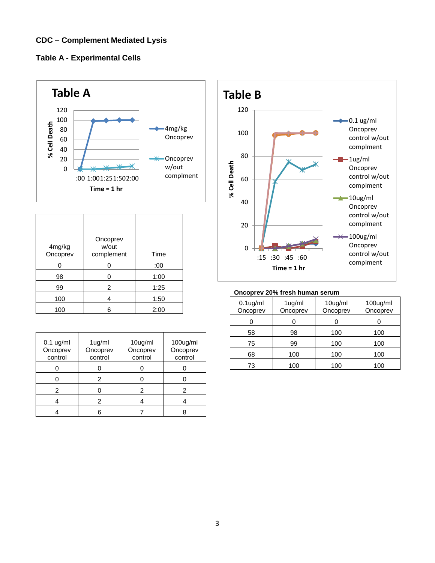# **CDC – Complement Mediated Lysis**





|                    | Oncoprev            |      |
|--------------------|---------------------|------|
| 4mg/kg<br>Oncoprev | w/out<br>complement | Time |
| 0                  | በ                   | :00  |
| 98                 |                     | 1:00 |
| 99                 | 2                   | 1:25 |
| 100                | 4                   | 1:50 |
| 100                | հ                   | 2:00 |

| $0.1$ ug/ml<br>Oncoprev<br>control | 1ug/ml<br>Oncoprev<br>control | 10ug/ml<br>Oncoprev<br>control | 100ug/ml<br>Oncoprev<br>control |
|------------------------------------|-------------------------------|--------------------------------|---------------------------------|
|                                    |                               |                                |                                 |
|                                    | 2                             |                                |                                 |
| 2                                  |                               |                                | 2                               |
|                                    | 2                             |                                |                                 |
|                                    |                               |                                |                                 |



#### **Oncoprev 20% fresh human serum**

| $0.1$ ug/ml<br>Oncoprev | 1ug/ml<br>Oncoprev | 10ug/ml<br>Oncoprev | $100$ ug/ml<br>Oncoprev |
|-------------------------|--------------------|---------------------|-------------------------|
|                         |                    |                     |                         |
| 58                      | 98                 | 100                 | 100                     |
| 75                      | 99                 | 100                 | 100                     |
| 68                      | 100                | 100                 | 100                     |
| 73                      | 100                | 100                 | 100                     |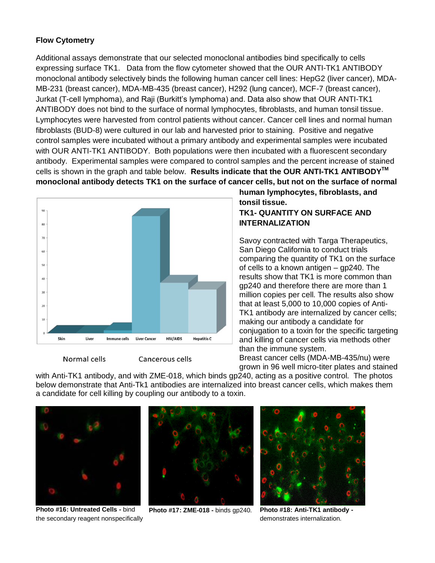### **Flow Cytometry**

Additional assays demonstrate that our selected monoclonal antibodies bind specifically to cells expressing surface TK1. Data from the flow cytometer showed that the OUR ANTI-TK1 ANTIBODY monoclonal antibody selectively binds the following human cancer cell lines: HepG2 (liver cancer), MDA-MB-231 (breast cancer), MDA-MB-435 (breast cancer), H292 (lung cancer), MCF-7 (breast cancer), Jurkat (T-cell lymphoma), and Raji (Burkitt's lymphoma) and. Data also show that OUR ANTI-TK1 ANTIBODY does not bind to the surface of normal lymphocytes, fibroblasts, and human tonsil tissue. Lymphocytes were harvested from control patients without cancer. Cancer cell lines and normal human fibroblasts (BUD-8) were cultured in our lab and harvested prior to staining. Positive and negative control samples were incubated without a primary antibody and experimental samples were incubated with OUR ANTI-TK1 ANTIBODY. Both populations were then incubated with a fluorescent secondary antibody. Experimental samples were compared to control samples and the percent increase of stained cells is shown in the graph and table below. **Results indicate that the OUR ANTI-TK1 ANTIBODYTM monoclonal antibody detects TK1 on the surface of cancer cells, but not on the surface of normal**



Normal cells

Cancerous cells

**human lymphocytes, fibroblasts, and tonsil tissue. TK1- QUANTITY ON SURFACE AND INTERNALIZATION**

Savoy contracted with Targa Therapeutics, San Diego California to conduct trials comparing the quantity of TK1 on the surface of cells to a known antigen – gp240. The results show that TK1 is more common than gp240 and therefore there are more than 1 million copies per cell. The results also show that at least 5,000 to 10,000 copies of Anti-TK1 antibody are internalized by cancer cells; making our antibody a candidate for conjugation to a toxin for the specific targeting and killing of cancer cells via methods other than the immune system.

Breast cancer cells (MDA-MB-435/nu) were grown in 96 well micro-titer plates and stained

with Anti-TK1 antibody, and with ZME-018, which binds gp240, acting as a positive control. The photos below demonstrate that Anti-Tk1 antibodies are internalized into breast cancer cells, which makes them a candidate for cell killing by coupling our antibody to a toxin.



**Photo #16: Untreated Cells -** bind the secondary reagent nonspecifically



**Photo #17: ZME-018 -** binds gp240. **Photo #18: Anti-TK1 antibody -**



demonstrates internalization.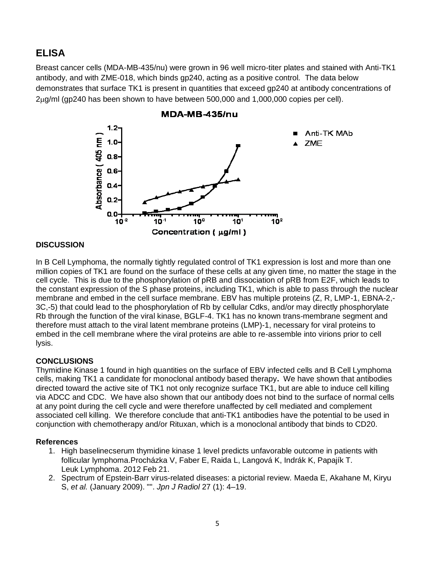# **ELISA**

Breast cancer cells (MDA-MB-435/nu) were grown in 96 well micro-titer plates and stained with Anti-TK1 antibody, and with ZME-018, which binds gp240, acting as a positive control. The data below demonstrates that surface TK1 is present in quantities that exceed gp240 at antibody concentrations of 2g/ml (gp240 has been shown to have between 500,000 and 1,000,000 copies per cell).



### MDA-MB-435/nu

### **DISCUSSION**

In B Cell Lymphoma, the normally tightly regulated control of TK1 expression is lost and more than one million copies of TK1 are found on the surface of these cells at any given time, no matter the stage in the cell cycle. This is due to the phosphorylation of pRB and dissociation of pRB from E2F, which leads to the constant expression of the S phase proteins, including TK1, which is able to pass through the nuclear membrane and embed in the cell surface membrane. EBV has multiple proteins (Z, R, LMP-1, EBNA-2,- 3C,-5) that could lead to the phosphorylation of Rb by cellular Cdks, and/or may directly phosphorylate Rb through the function of the viral kinase, BGLF-4. TK1 has no known trans-membrane segment and therefore must attach to the viral latent membrane proteins (LMP)-1, necessary for viral proteins to embed in the cell membrane where the viral proteins are able to re-assemble into virions prior to cell lysis.

## **CONCLUSIONS**

Thymidine Kinase 1 found in high quantities on the surface of EBV infected cells and B Cell Lymphoma cells, making TK1 a candidate for monoclonal antibody based therapy**.** We have shown that antibodies directed toward the active site of TK1 not only recognize surface TK1, but are able to induce cell killing via ADCC and CDC. We have also shown that our antibody does not bind to the surface of normal cells at any point during the cell cycle and were therefore unaffected by cell mediated and complement associated cell killing. We therefore conclude that anti-TK1 antibodies have the potential to be used in conjunction with chemotherapy and/or Rituxan, which is a monoclonal antibody that binds to CD20.

### **References**

- 1. High baselinecserum thymidine kinase 1 level predicts unfavorable outcome in patients with follicular lymphoma.Procházka V, Faber E, Raida L, Langová K, Indrák K, Papajík T. Leuk Lymphoma. 2012 Feb 21.
- 2. Spectrum of Epstein-Barr virus-related diseases: a pictorial review. Maeda E, Akahane M, Kiryu S, *et al.* (January 2009). "". *Jpn J Radiol* 27 (1): 4–19.